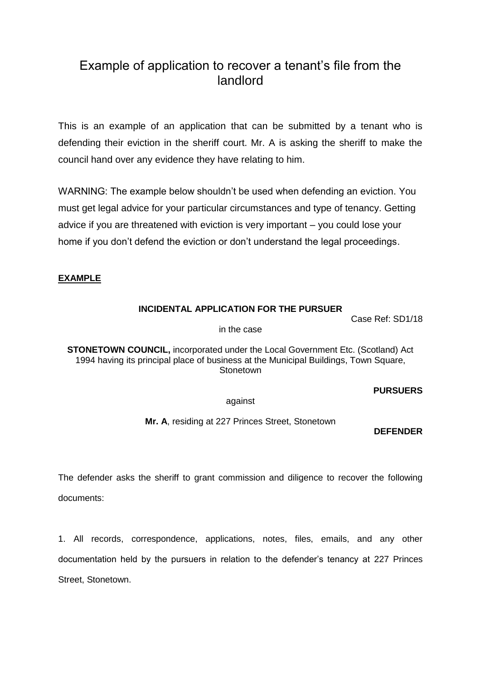# Example of application to recover a tenant's file from the landlord

This is an example of an application that can be submitted by a tenant who is defending their eviction in the sheriff court. Mr. A is asking the sheriff to make the council hand over any evidence they have relating to him.

WARNING: The example below shouldn't be used when defending an eviction. You must get legal advice for your particular circumstances and type of tenancy. Getting advice if you are threatened with eviction is very important – you could lose your home if you don't defend the eviction or don't understand the legal proceedings.

## **EXAMPLE**

## **INCIDENTAL APPLICATION FOR THE PURSUER**

Case Ref: SD1/18

in the case

**STONETOWN COUNCIL,** incorporated under the Local Government Etc. (Scotland) Act 1994 having its principal place of business at the Municipal Buildings, Town Square, **Stonetown** 

### **PURSUERS**

against

**Mr. A**, residing at 227 Princes Street, Stonetown

### **DEFENDER**

The defender asks the sheriff to grant commission and diligence to recover the following documents:

1. All records, correspondence, applications, notes, files, emails, and any other documentation held by the pursuers in relation to the defender's tenancy at 227 Princes Street, Stonetown.